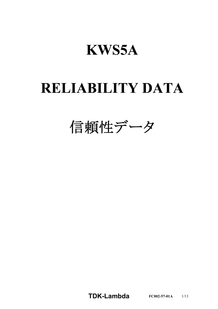# **KWS5A**

# **RELIABILITY DATA**

信頼性データ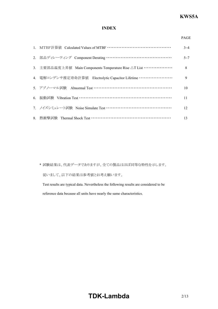# **INDEX**

| ۰, |
|----|

|                                                               | $3 - 4$ |
|---------------------------------------------------------------|---------|
| 2. 部品ディレーティング Component Derating ………………………………………              | $5 - 7$ |
| 3. 主要部品温度上昇值 Main Components Temperature Rise △T List ………………… | 8       |
| 4. 電解コンデンサ推定寿命計算値 Electrolytic Capacitor Lifetime …………………     | 9       |
| 5. アブノーマル試験 Abnormal Test ………………………………………………                  | 10      |
|                                                               | 11      |
| 7. ノイズシミュレート試験 Noise Simulate Test ………………………………………            | 12      |
|                                                               | 13      |

\* 試験結果は、代表データでありますが、全ての製品はほぼ同等な特性を示します。 従いまして、以下の結果は参考値とお考え願います。

Test results are typical data. Nevertheless the following results are considered to be reference data because all units have nearly the same characteristics.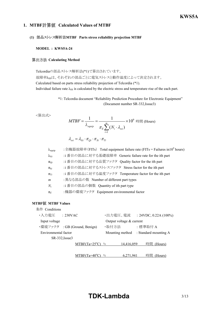# *RWS 50B600B Series* **KWS5A**

# **1. MTBF Calculated Values of MTBF**

## **(1) MTBF Parts stress reliability projection MTBF**

#### **MODEL : KWS5A-24**

# **算出方法 Calculating Method**

Telcordiaの部品ストレス解析法(\*1)で算出されています。

故障率λssは、それぞれの部品ごとに電気ストレスと動作温度によって決定されます。 Calculated based on parts stress reliability projection of Telcordia (\*1). Individual failure rate  $\lambda_{SS}$  is calculated by the electric stress and temperature rise of the each part.

> \*1: Telcordia document "Reliability Prediction Procedure for Electronic Equipment" (Document number SR-332, Issue3)

<算出式>

$$
MTBF = \frac{1}{\lambda_{equip}} = \frac{1}{\pi_E \sum_{i=1}^{m} (N_i \cdot \lambda_{ssi})} \times 10^9 \text{ E}
$$
 (Hours)  

$$
\lambda_{ssi} = \lambda_{Gi} \cdot \pi_{Qi} \cdot \pi_{Si} \cdot \pi_{Ti}
$$

λequip :全機器故障率(FITs) Total equipment failure rate (FITs = Failures in10<sup>9</sup> hours) λG*i*uip :i 番目の部品に対する基礎故障率 Generic failure rate for the ith part πQ*i*uip :i 番目の部品に対する品質ファクタ Quality factor for the ith part πS*i*uip :i 番目の部品に対するストレスファクタ Stress factor for the ith part πT*i*uip :i 番目の部品に対する温度ファクタ Temperature factor for the ith part *m*uiip :異なる部品の数 Number of different part types *NiT*ui :i 番目の部品の個数 Quantity of ith part type π*E*Uiip :機器の環境ファクタ Equipment environmental factor

#### **MTBF MTBF Values**

| 条件 Conditions        |                |                               |       |                            |         |                          |
|----------------------|----------------|-------------------------------|-------|----------------------------|---------|--------------------------|
| ・入力電圧                | : 230VAC       |                               |       | ・出力電圧、電流                   |         | : 24VDC, 0.22A $(100\%)$ |
| Input voltage        |                |                               |       | Output voltage $&$ current |         |                          |
|                      |                | ・環境ファクタ : GB (Ground, Benign) | ・取付方法 |                            | :標準取付 A |                          |
| Environmental factor |                |                               |       | Mounting method            |         | : Standard mounting A    |
|                      | SR-332, Issue3 |                               |       |                            |         |                          |
|                      |                | $MTBF(Ta=25^{\circ}C) =$      |       | 14,416,059                 | 時間      | (Hours)                  |
|                      |                |                               |       |                            |         |                          |
|                      |                | BF(Ta=40                      |       | 6,271.941                  | 時間      | (Hours)                  |

# **TDK-Lambda** 3/13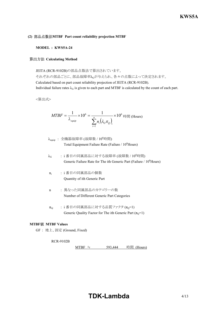# **(2) MTBF Part count reliability projection MTBF**

# **MODEL : KWS5A-24**

# **算出方法 Calculating Method**

JEITA (RCR-9102B)の部品点数法で算出されています。

それぞれの部品ごとに、部品故障率λGが与えられ、各々の点数によって決定されます。 Calculated based on part count reliability projection of JEITA (RCR-9102B). Individual failure rates  $\lambda_G$  is given to each part and MTBF is calculated by the count of each part.

<算出式>

$$
MTBF = \frac{1}{\lambda_{\text{equip}}} \times 10^6 = \frac{1}{\sum_{i=1}^n n_i (\lambda_{\text{c}} \pi_{\text{Q}})_i} \times 10^6 \text{ H, (Hours)}
$$

- $\lambda_{\text{eeuip}}$  : 全機器故障率 (故障数 /  $10^6$ 時間) Total Equipment Failure Rate (Failure  $/ 10^6$ Hours)
- $\lambda_G$  : i番目の同属部品に対する故障率 (故障数 / 10<sup>6</sup>時間) Generic Failure Rate for The ith Generic Part (Failure  $/ 10<sup>6</sup>$ Hours)
- ni : i 番目の同属部品の個数 Quantity of ith Generic Part
- n : 異なった同属部品のカテゴリーの数 Number of Different Generic Part Categories
- $\pi_{Q}$  : i 番目の同属部品に対する品質ファクタ $(\pi_{Q}=1)$ Generic Quality Factor for The ith Generic Part  $(\pi_0=1)$

## **MTBF MTBF Values**

GF : 地上、固定 (Ground, Fixed)

#### **RCR-9102B**

MTBF ≒ 593,444 時間 (Hours)

# **TDK-Lambda** 4/13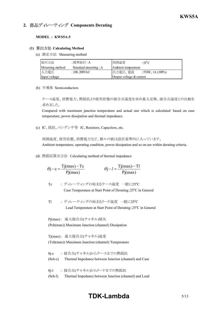# **2. 部品ディレーティング Components Derating**

**MODEL : KWS5A-5** 

#### **(1) Calculating Method**

(a) 測定方法 Measuring method

| 取付方法            | :標準取付:A               | 周囲温度                     | :55 $^{\circ}$ C     |
|-----------------|-----------------------|--------------------------|----------------------|
| Mounting method | Standard mounting : A | Ambient temperature      |                      |
| 入力電圧            | $: 100, 200$ VAC      | 出力電圧、電流                  | : 5VDC, 1A $(100\%)$ |
| Input voltage   |                       | Output voltage & current |                      |

(b) 半導体 Semiconductors

ケース温度、消費電力、熱抵抗より使用状態の接合点温度を求め最大定格、接合点温度との比較を 求めました。

Compared with maximum junction temperature and actual one which is calculated based on case temperature, power dissipation and thermal impedance.

(c) IC、抵抗、コンデンサ等 IC, Resistors, Capacitors, etc.

周囲温度、使用状態、消費電力など、個々の値は設計基準内に入っています。 Ambient temperature, operating condition, power dissipation and so on are within derating criteria.

(d) 熱抵抗算出方法 Calculating method of thermal impedance

$$
\theta j - c = \frac{Tj(max) - Tc}{Pj(max)} \qquad \theta j - l = \frac{Tj(max) - Tl}{Pj(max)}
$$

Tc : ディレーティングの始まるケース温度 一般に25°C

Case Temperature at Start Point of Derating;  $25^{\circ}$ C in General

Tl : ディレーティングの始まるリード温度 一般に25°C Lead Temperature at Start Point of Derating;  $25^{\circ}$ C in General

Pj(max) : 最大接合点(チャネル)損失 (Pch(max)) Maximum Junction (channel) Dissipation

Tj(max) : 最大接合点(チャネル)温度 (Tch(max)) Maximum Junction (channel) Temperature

- θjc : 接合点(チャネル)からケースまでの熱抵抗  $(\theta$ ch-c) Thermal Impedance between Junction (channel) and Case
- θj-l : 接合点(チャネル)からリードまでの熱抵抗
- $(\theta$ ch-l) Thermal Impedance between Junction (channel) and Lead

# **TDK-Lambda** 5/13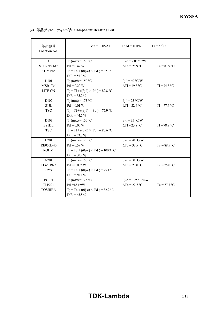| 部品番号<br>Location No. | $V_{in} = 100$ VAC                                | $Load = 100\%$               | $Ta = 55^{\circ}C$ |
|----------------------|---------------------------------------------------|------------------------------|--------------------|
| Q1                   | Tj (max) = $150 °C$                               | $\theta$ j-c = 2.08 °C/W     |                    |
| STU7N60M2            | $Pd = 0.47 W$                                     | $\Delta Tc = 26.9 \degree C$ | $Tc = 81.9$ °C     |
| ST Micro             | $Tj = Tc + ((\theta j - c) \times Pd) = 82.9$ °C  |                              |                    |
|                      | $D.F. = 55.3 \%$                                  |                              |                    |
| D <sub>10</sub> 1    | T <sub>j</sub> (max) = $150$ °C                   | $\theta$ j-l = 40 °C/W       |                    |
| MSB10M               | $Pd = 0.20 W$                                     | $\Delta T l = 19.8 °C$       | $T = 74.8 °C$      |
| <b>LITE-ON</b>       | $Tj = Tl + ((\theta j - l) \times Pd) = 82.8 °C$  |                              |                    |
|                      | $D.F. = 55.2 \%$                                  |                              |                    |
| D102                 | $Ti$ (max) = 175 °C                               | $\theta$ j-l = 25 °C/W       |                    |
| <b>S1JL</b>          | $Pd = 0.01 W$                                     | $\Delta T l = 22.6$ °C       | $T = 77.6 °C$      |
| <b>TSC</b>           | $Tj = Tl + ((\theta j - l) \times Pd) = 77.9$ °C  |                              |                    |
|                      | $D.F. = 44.5\%$                                   |                              |                    |
| D <sub>103</sub>     | Tj (max) = $150 °C$                               | $\theta$ j-l = 35 °C/W       |                    |
| <b>ES1DL</b>         | $Pd = 0.05 W$                                     | $\Delta T l = 23.8 °C$       | $T = 78.8 °C$      |
| <b>TSC</b>           | $Tj = T1 + ((\theta j - 1) \times Pd) = 80.6$ °C  |                              |                    |
|                      | $D.F. = 53.7\%$                                   |                              |                    |
| D <sub>201</sub>     | T <sub>j</sub> (max) = $125$ °C                   | $\theta$ j-c = 20 °C/W       |                    |
| RB050L-40            | $Pd = 0.59 W$                                     | $\Delta Tc = 33.5$ °C        | $Tc = 88.5$ °C     |
| <b>ROHM</b>          | $Tj = Tc + ((\theta j - c) \times Pd) = 100.3$ °C |                              |                    |
|                      | $D.F. = 80.2 \%$                                  |                              |                    |
| A201                 | $Ti$ (max) = 150 °C                               | $\theta$ j-c = 50 °C/W       |                    |
| <b>TL431RN3</b>      | $Pd = 0.002 W$                                    | $\Delta Tc = 20.0$ °C        | $Tc = 75.0 °C$     |
| <b>CYS</b>           | $Tj = Tc + ((\theta j - c) \times Pd) = 75.1$ °C  |                              |                    |
|                      | $D.F. = 50.1 \%$                                  |                              |                    |
| <b>PC101</b>         | Tj (max) = $125 °C$                               | $\theta$ j-c = 0.25 °C/mW    |                    |
| <b>TLP291</b>        | $Pd = 18.1mW$                                     | $\Delta Tc = 22.7$ °C        | $Tc = 77.7 °C$     |
| <b>TOSHIBA</b>       | $Tj = Tc + ((\theta j - c) \times Pd) = 82.2 °C$  |                              |                    |
|                      | $D.F. = 65.8\%$                                   |                              |                    |

**(2) 部品ディレーティング表 Component Derating List**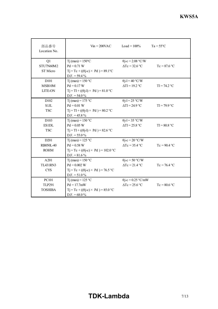| 部品番号<br>Location No. | $V_{\text{in}} = 200 \text{VAC}$                                    | $Load = 100\%$                 | $Ta = 55^{\circ}C$ |
|----------------------|---------------------------------------------------------------------|--------------------------------|--------------------|
| Q1                   | $Ti$ (max) = $150^{\circ}$ C                                        | $\theta$ j-c = 2.08 °C/W       |                    |
| STU7N60M2            | $Pd = 0.71 W$                                                       | $\Delta Tc = 32.6$ °C          | $Tc = 87.6 °C$     |
| ST Micro             | $Tj = Tc + ((\theta j - c) \times Pd) = 89.1$ °C<br>$D.F. = 59.4\%$ |                                |                    |
| D <sub>10</sub> 1    | Tj (max) = $150 °C$                                                 | $\theta$ j-l = 40 °C/W         |                    |
| MSB10M               | $Pd = 0.17 W$                                                       | $\Delta T l = 19.2 \text{ °C}$ | $T = 74.2 °C$      |
| <b>LITE-ON</b>       | $Tj = Tl + ((\theta j - l) \times Pd) = 81.0 °C$                    |                                |                    |
|                      | $D.F. = 54.0\%$                                                     |                                |                    |
| D <sub>102</sub>     | Tj (max) = $175 °C$                                                 | $\theta$ j-l = 25 °C/W         |                    |
| S1JL                 | $Pd = 0.01 W$                                                       | $\Delta T l = 24.9$ °C         | $T = 79.9 °C$      |
| <b>TSC</b>           | $Tj = T1 + ((\theta j - 1) \times Pd) = 80.2$ °C                    |                                |                    |
|                      | $D.F. = 45.8 \%$                                                    |                                |                    |
| D <sub>103</sub>     | $Ti$ (max) = 150 °C                                                 | $\theta$ j-l = 35 °C/W         |                    |
| <b>ES1DL</b>         | $Pd = 0.05 W$                                                       | $\Delta T l = 25.8 °C$         | $T = 80.8 °C$      |
| <b>TSC</b>           | $T_1 = T_1 + ((\theta_1 - 1) \times P_d) = 82.6$ °C                 |                                |                    |
|                      | $D.F. = 55.0\%$                                                     |                                |                    |
| D <sub>201</sub>     | T <sub>j</sub> (max) = $125$ °C                                     | $\theta$ j-c = 20 °C/W         |                    |
| RB050L-40            | $Pd = 0.58 W$                                                       | $\Delta Tc = 35.4$ °C          | $Tc = 90.4$ °C     |
| <b>ROHM</b>          | $Tj = Tc + ((\theta j - c) \times Pd) = 102.0 °C$                   |                                |                    |
|                      | $D.F. = 81.6\%$                                                     |                                |                    |
| A201                 | Tj (max) = $150 °C$                                                 | $\theta$ j-c = 50 °C/W         |                    |
| <b>TL431RN3</b>      | $Pd = 0.002 W$                                                      | $\Delta Tc = 21.4$ °C          | $Tc = 76.4 °C$     |
| <b>CYS</b>           | $Tj = Tc + ((\theta j - c) \times Pd) = 76.5$ °C                    |                                |                    |
|                      | $D.F. = 51.0\%$                                                     |                                |                    |
| <b>PC101</b>         | Tj (max) = $125$ °C                                                 | $\theta$ j-c = 0.25 °C/mW      |                    |
| <b>TLP291</b>        | $Pd = 17.7mW$                                                       | $\Delta Tc = 25.6$ °C          | $Tc = 80.6 °C$     |
| <b>TOSHIBA</b>       | $Tj = Tc + ((\theta j - c) \times Pd) = 85.0 °C$                    |                                |                    |
|                      | $D.F. = 68.0\%$                                                     |                                |                    |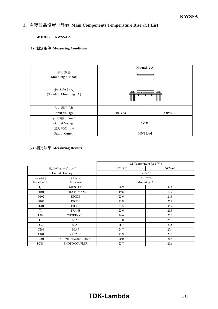#### *INSTRUCTION MANUAL* 3. 主要部品温度上昇值 Main Components Temperature Rise  $\Delta T$  List

**MODEL : KWS5A-5** 

**(1) Measuring Conditions**

|                                                               |              | Mounting A |  |  |
|---------------------------------------------------------------|--------------|------------|--|--|
| 取付方法<br>Mounting Method<br>(標準取付:A)<br>(Standard Mounting: A) |              |            |  |  |
| 入力電圧 Vin                                                      |              |            |  |  |
| Input Voltage                                                 | 100VAC       | 200VAC     |  |  |
| 出力電圧 Vout                                                     |              |            |  |  |
| Output Voltage                                                | 5VDC         |            |  |  |
| 出力電流 Iout                                                     |              |            |  |  |
| Output Current                                                | $100\%$ load |            |  |  |

# **(2) Measuring Results**

|                   |                        |        | $\Delta T$ Temperature Rise (°C) |
|-------------------|------------------------|--------|----------------------------------|
|                   | 出力ディレーティング             | 100VAC | $200$ VAC                        |
|                   | <b>Output Derating</b> |        | Ta=55 $\degree$ C                |
| 部品番号              | 部品名                    |        | 取付方向                             |
| Location No.      | Part name              |        | Mounting A                       |
| Q1                | <b>MOS FET</b>         | 26.9   | 32.6                             |
| D <sub>10</sub> 1 | <b>BRIDGE DIODE</b>    | 19.8   | 19.2                             |
| D <sub>102</sub>  | <b>DIODE</b>           | 22.6   | 24.9                             |
| D <sub>103</sub>  | <b>DIODE</b>           | 23.8   | 25.8                             |
| D <sub>201</sub>  | <b>DIODE</b>           | 33.5   | 35.4                             |
| T1                | <b>TRANS</b>           | 23.6   | 25.9                             |
| L <sub>201</sub>  | <b>CHOKE COIL</b>      | 24.6   | 26.3                             |
| C1                | <b>ECAP</b>            | 23.8   | 25.3                             |
| C <sub>2</sub>    | <b>ECAP</b>            | 26.7   | 29.8                             |
| C <sub>208</sub>  | <b>ECAP</b>            | 24.7   | 27.4                             |
| A101              | <b>CHIP IC</b>         | 25.9   | 28.2                             |
| A201              | SHUNT REGULATOR IC     | 20.0   | 21.4                             |
| PC101             | PHOTO COUPLER          | 22.7   | 25.6                             |

# **TDK-Lambda** 8/13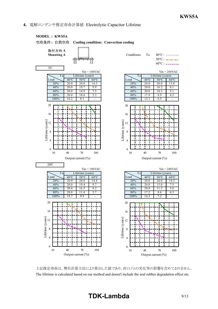# **4.** 電解コンデンサ推定寿命計算値 Electrolytic Capacitor Lifetime



上記推定寿命は、弊社計算方法により算出した値であり、封口ゴムの劣化等の影響を含めておりません。 The lifetime is calculated based on our method and doesn't include the seal rubber degradation effect etc.

# **TDK-Lambda** 9/13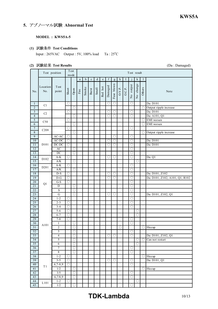# **5. アブノーマル試験 Abnormal Test**

**MODEL : KWS5A-5** 

**(1) Test Conditions**

Input :  $265VAC$  Output :  $5V$ ,  $100\%$  load Ta :  $25^{\circ}C$ 

# **(2) Test Results** (Da : Damaged)

|                                  | Test position    |                       |                          | Test<br>mode             | Test result           |             |             |             |                                                                                |                       |                     |              |        |                                     |                     |                          |                                                  |
|----------------------------------|------------------|-----------------------|--------------------------|--------------------------|-----------------------|-------------|-------------|-------------|--------------------------------------------------------------------------------|-----------------------|---------------------|--------------|--------|-------------------------------------|---------------------|--------------------------|--------------------------------------------------|
|                                  |                  |                       |                          |                          | $\mathbf{a}$          | $\mathbf b$ | $\mathbf c$ | $\mathbf d$ | $\mathbf{e}% _{B}=\mathbf{e}_{B}+\mathbf{e}_{B}+\mathbf{e}_{B}+\mathbf{e}_{B}$ | $\mathbf f$           | $\mathbf{g}% _{0}$  | $\mathbf{h}$ | 1      |                                     | k                   | $\mathbf{I}$             |                                                  |
| No.                              | Location<br>No.  | <b>T</b> est<br>point | Short                    | Open                     | $\operatorname{Fire}$ | Smoke       | Burst       | Smell       | Red hot                                                                        | Damaged               | Fuse blown          | O.V.P.       | O.C.P. | No output                           | No change           | Others                   | Note                                             |
| $\mathbf{1}$                     | C1               |                       | $\left(\right)$          |                          |                       |             |             |             |                                                                                | $\bigcirc$            | O                   |              |        | O                                   |                     |                          | Da: D101                                         |
| $\overline{2}$                   |                  |                       |                          | $\bigcirc$               |                       |             |             |             |                                                                                |                       |                     |              |        |                                     |                     | Ο                        | Output ripple increase                           |
| $\sqrt{3}$                       | C2               |                       | O                        |                          |                       |             |             |             |                                                                                | O                     | О                   |              |        | $\bigcirc$                          |                     |                          | Da: D101                                         |
| $\overline{4}$                   |                  |                       |                          | О                        |                       |             |             |             |                                                                                | O                     | O                   |              |        | O                                   |                     |                          | Da: A101, Q1                                     |
| $\overline{5}$<br>$\overline{6}$ | C50              |                       | $\bigcirc$               | $\circ$                  |                       |             |             |             |                                                                                |                       |                     |              |        |                                     |                     | $\bigcirc$<br>$\bigcirc$ | EMI worsen<br>EMI worsen                         |
| $\tau$                           |                  |                       | $\circlearrowright$      |                          |                       |             |             |             |                                                                                |                       |                     |              |        | $\bigcirc$                          |                     |                          |                                                  |
| $\sqrt{8}$                       | C208             |                       |                          | О                        |                       |             |             |             |                                                                                |                       |                     |              |        |                                     |                     | О                        | Output ripple increase                           |
| $\overline{9}$                   |                  | $AC-AC$               | O                        |                          |                       |             |             |             |                                                                                |                       | O                   |              |        | O                                   |                     |                          |                                                  |
| 10                               |                  | $AC-DC$               | $\circlearrowright$      |                          |                       |             |             |             |                                                                                | О                     | О                   |              |        | $\circ$                             |                     |                          | Da: D101                                         |
| 11                               | D101             | $DC-DC$               | О                        |                          |                       |             |             |             |                                                                                | $\circlearrowright$   | O                   |              |        | $\overline{\bigcirc}$               |                     |                          | Da: D101                                         |
| 12                               |                  | AC                    |                          | O                        |                       |             |             |             |                                                                                |                       |                     |              |        | $\bigcirc$                          |                     |                          |                                                  |
| 13                               |                  | DC                    |                          | $\overline{\bigcirc}$    |                       |             |             |             |                                                                                |                       |                     |              |        | O                                   |                     |                          |                                                  |
| 14                               | D102             | $A-K$                 | O                        |                          |                       |             |             |             |                                                                                | $\bigcirc$            | $\circlearrowright$ |              |        | $\overline{\bigcirc}$               |                     |                          | Da: Q1                                           |
| 15                               |                  | A/K                   |                          | $\circlearrowright$      |                       |             |             |             |                                                                                |                       |                     |              |        |                                     | $\bigcirc$          |                          |                                                  |
| 16                               | D <sub>201</sub> | $A-K$                 | $\left(\right)$          |                          |                       |             |             |             |                                                                                |                       |                     |              |        | О                                   |                     |                          |                                                  |
| 17                               |                  | A/K                   |                          | O                        |                       |             |             |             |                                                                                |                       |                     |              |        | $\bigcirc$                          |                     |                          |                                                  |
| 18<br>19                         |                  | $D-S$<br>$D-G$        | O<br>$\circlearrowright$ |                          |                       |             |             |             |                                                                                | O<br>Ō                | О<br>O              |              |        | $\bigcirc$<br>$\overline{\bigcirc}$ |                     |                          | Da: D101, Z102<br>Da: D101, Z102, A101, Q1, R102 |
| 20                               |                  | $G-S$                 | O                        |                          |                       |             |             |             |                                                                                |                       |                     |              |        | O                                   |                     |                          |                                                  |
| $\overline{21}$                  | Q1               | D                     |                          | O                        |                       |             |             |             |                                                                                |                       |                     |              |        | O                                   |                     |                          |                                                  |
| 22                               |                  | S                     |                          | $\bigcirc$               |                       |             |             |             |                                                                                |                       |                     |              |        | $\bigcirc$                          |                     |                          |                                                  |
| 23                               |                  | $\overline{G}$        |                          | 0                        |                       |             |             |             |                                                                                | $\overline{\bigcirc}$ | $\circ$             |              |        | $\bigcirc$                          |                     |                          | Da: D101, Z102, Q1                               |
| 24                               |                  | $1 - 2$               | O                        |                          |                       |             |             |             |                                                                                |                       |                     |              |        | $\bigcirc$                          |                     |                          |                                                  |
| 25                               |                  | $2 - 3$               | O                        |                          |                       |             |             |             |                                                                                |                       |                     |              |        | О                                   |                     |                          |                                                  |
| 26                               |                  | $3 - 4$               | $\bigcirc$               |                          |                       |             |             |             |                                                                                |                       |                     |              |        | $\bigcirc$                          |                     |                          |                                                  |
| $\overline{27}$                  |                  | $5 - 6$               | $\bigcirc$               |                          |                       |             |             |             |                                                                                |                       |                     |              |        |                                     | O                   |                          |                                                  |
| 28                               |                  | $6 - 7$               | $\circlearrowright$      |                          |                       |             |             |             |                                                                                |                       |                     |              |        |                                     | $\bigcirc$          |                          |                                                  |
| 29                               |                  | $7 - 8$               | O                        |                          |                       |             |             |             |                                                                                |                       |                     |              |        | O                                   |                     |                          |                                                  |
| $\overline{30}$                  | A101             | $\mathbf{1}$          |                          | $\bigcirc$               |                       |             |             |             |                                                                                |                       |                     |              |        | $\bigcirc$                          |                     |                          |                                                  |
| 31<br>$\overline{32}$            |                  | $\overline{c}$<br>3   |                          | $\bigcirc$<br>$\bigcirc$ |                       |             |             |             |                                                                                |                       |                     | $\bigcirc$   |        | $\bigcirc$                          |                     | $\bigcirc$               | Hiccup                                           |
| 33                               |                  | 4                     |                          | $\circlearrowright$      |                       |             |             |             |                                                                                | O                     | $\circlearrowright$ |              |        | O                                   |                     |                          | Da: D101, Z102, Q1                               |
| $\overline{34}$                  |                  | 5                     |                          | $\overline{\circ}$       |                       |             |             |             |                                                                                |                       |                     |              |        |                                     | $\bigcirc$          | O                        | Can not restart                                  |
| 35                               |                  | $\overline{6}$        |                          | $\overline{\bigcirc}$    |                       |             |             |             |                                                                                |                       |                     |              |        |                                     | $\bigcirc$          |                          |                                                  |
| 36                               |                  | 7                     |                          | $\circ$                  |                       |             |             |             |                                                                                |                       |                     |              |        | $\bigcirc$                          |                     |                          |                                                  |
| 37                               |                  | $\boldsymbol{8}$      |                          | $\circ$                  |                       |             |             |             |                                                                                |                       |                     |              |        | O                                   |                     |                          |                                                  |
| 38                               |                  | $1 - 2$               | $\circlearrowright$      |                          |                       |             |             |             |                                                                                |                       |                     |              |        |                                     |                     | $\circlearrowright$      | Hiccup                                           |
| 39                               |                  | $3 - 5$               | $\bigcirc$               |                          |                       |             |             |             |                                                                                | $\bigcirc$            | $\bigcirc$          |              |        | $\bigcirc$                          |                     |                          | Da: D101, Q1                                     |
| 40                               | T1               | $6,7 - 8,9$           | $\circ$                  |                          |                       |             |             |             |                                                                                |                       |                     |              |        | $\overline{\bigcirc}$               |                     |                          |                                                  |
| 41                               |                  | 1/2                   |                          | $\bigcirc$               |                       |             |             |             |                                                                                |                       |                     |              |        |                                     |                     | $\bigcirc$               | Hiccup                                           |
| 42                               |                  | 3/5                   |                          | $\bigcirc$               |                       |             |             |             |                                                                                |                       |                     |              |        | $\circlearrowright$                 |                     |                          |                                                  |
| 43                               |                  | 6,7/8,9               |                          | $\circ$                  |                       |             |             |             |                                                                                |                       |                     |              |        | $\overline{\bigcirc}$               |                     |                          |                                                  |
| 44                               | L101             | $1 - 2$               | O                        |                          |                       |             |             |             |                                                                                |                       |                     |              |        |                                     | $\circlearrowright$ |                          |                                                  |
| 45                               |                  | 1/2                   |                          | О                        |                       |             |             |             |                                                                                |                       |                     |              |        | O                                   |                     |                          |                                                  |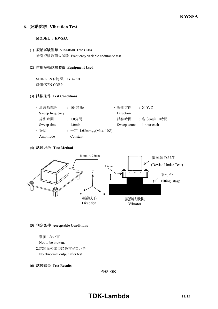# **6. Vibration Test**

# **MODEL : KWS5A**

## **(1) Vibration Test Class**

掃引振動数耐久試験 Frequency variable endurance test

## **(2) Equipment Used**

SHINKEN (株) 製 G14-701 SHINKEN CORP.

# **(3) Test Conditions**

| · 周波数範囲         | : $10 \sim 55$ Hz                             | ・振動方向       | :X, Y, Z    |
|-----------------|-----------------------------------------------|-------------|-------------|
| Sweep frequency |                                               | Direction   |             |
| · 掃引時間          | : 1.0分間                                       | ・試験時間       | :各方向共 1時間   |
| Sweep time      | $1.0$ min                                     | Sweep count | 1 hour each |
| ・振幅             | : $-\bar{x}$ 1.65mm <sub>p-p</sub> (Max. 10G) |             |             |
| Amplitude       | Constant                                      |             |             |

# **(4) Test Method**



# **(5) Acceptable Conditions**

1.破損しない事

Not to be broken.

- 2.試験後の出力に異常がない事 No abnormal output after test.
- **(6) Test Results**

合格 OK

# **TDK-Lambda** 11/13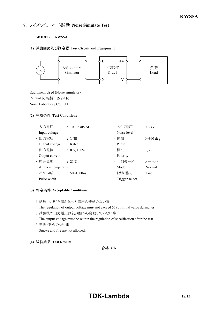# **7. ノイズシミュレート試験 Noise Simulate Test**

## **MODEL : KWS5A**

#### **(1) Test Circuit and Equipment**



Equipment Used (Noise simulator) ノイズ研究所製 INS410 Noise Laboratory Co.,LTD

# **(2) Test Conditions**

| ・入力電圧               | $: 100, 230$ VAC    | ・ノイズ雷圧         | $\therefore$ 0~2kV         |
|---------------------|---------------------|----------------|----------------------------|
| Input voltage       |                     | Noise level    |                            |
| · 出力電圧              | : 定格                | ・位相            | : $0 \sim 360 \text{ deg}$ |
| Output voltage      | Rated               | Phase          |                            |
| · 出力電流              | $: 0\%, 100\%$      | ・極性            | $: +,-$                    |
| Output current      |                     | Polarity       |                            |
| · 周囲温度              | $: 25^{\circ}C$     | ・印加モード         | ・ノーマル                      |
| Ambient temperature |                     | Mode           | Normal                     |
| ・パルス幅               | : $50 \sim 1000$ ns | ・トリガ選択         | $:$ Line                   |
| Pulse width         |                     | Trigger select |                            |

# **(3) Acceptable Conditions**

1.試験中、5%を超える出力電圧の変動のない事

The regulation of output voltage must not exceed 5% of initial value during test.

- 2.試験後の出力電圧は初期値から変動していない事 The output voltage must be within the regulation of specification after the test.
- 3.発煙・発火のない事 Smoke and fire are not allowed.
- **(4) Test Results**

合格 OK

# **TDK-Lambda** 12/13